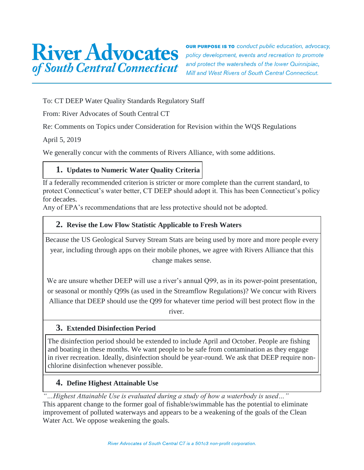

**OUR PURPOSE IS TO** conduct public education, advocacy, policy development, events and recreation to promote and protect the watersheds of the lower Quinnipiac, Mill and West Rivers of South Central Connecticut.

To: CT DEEP Water Quality Standards Regulatory Staff

From: River Advocates of South Central CT

Re: Comments on Topics under Consideration for Revision within the WQS Regulations

April 5, 2019

We generally concur with the comments of Rivers Alliance, with some additions.

# **1. Updates to Numeric Water Quality Criteria**

If a federally recommended criterion is stricter or more complete than the current standard, to protect Connecticut's water better, CT DEEP should adopt it. This has been Connecticut's policy for decades.

Any of EPA's recommendations that are less protective should not be adopted.

#### **2. Revise the Low Flow Statistic Applicable to Fresh Waters**

Because the US Geological Survey Stream Stats are being used by more and more people every year, including through apps on their mobile phones, we agree with Rivers Alliance that this change makes sense.

We are unsure whether DEEP will use a river's annual Q99, as in its power-point presentation, or seasonal or monthly Q99s (as used in the Streamflow Regulations)? We concur with Rivers Alliance that DEEP should use the Q99 for whatever time period will best protect flow in the

river.

#### **3. Extended Disinfection Period**

The disinfection period should be extended to include April and October. People are fishing and boating in these months. We want people to be safe from contamination as they engage in river recreation. Ideally, disinfection should be year-round. We ask that DEEP require nonchlorine disinfection whenever possible.

#### **4. Define Highest Attainable Use**

*"…Highest Attainable Use is evaluated during a study of how a waterbody is used…"* This apparent change to the former goal of fishable/swimmable has the potential to eliminate improvement of polluted waterways and appears to be a weakening of the goals of the Clean Water Act. We oppose weakening the goals.